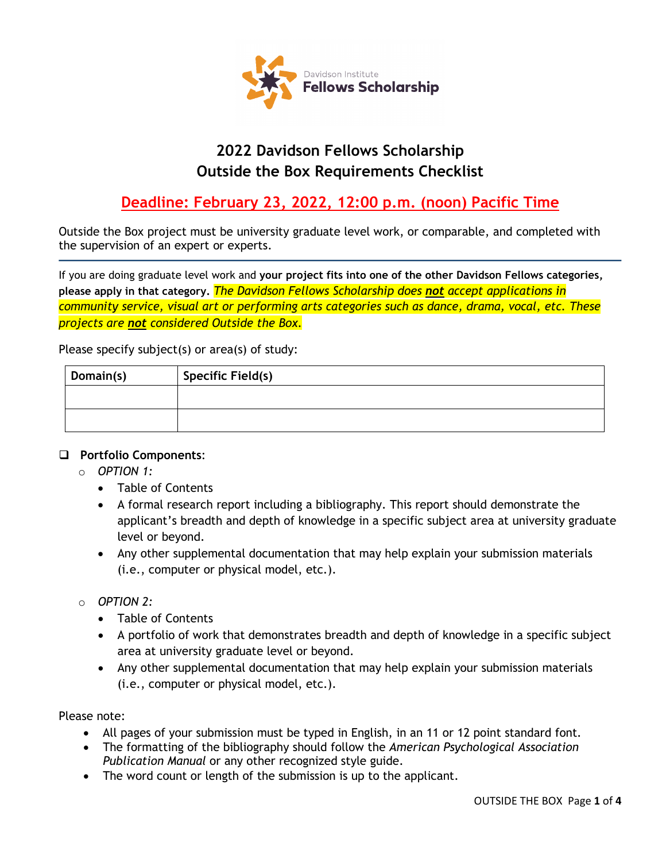

# **2022 Davidson Fellows Scholarship Outside the Box Requirements Checklist**

# **Deadline: February 23, 2022, 12:00 p.m. (noon) Pacific Time**

Outside the Box project must be university graduate level work, or comparable, and completed with the supervision of an expert or experts.

If you are doing graduate level work and **your project fits into one of the other Davidson Fellows categories, please apply in that category.** *The Davidson Fellows Scholarship does not accept applications in community service, visual art or performing arts categories such as dance, drama, vocal, etc. These projects are not considered Outside the Box.*

Please specify subject(s) or area(s) of study:

| Domain(s) | <b>Specific Field(s)</b> |
|-----------|--------------------------|
|           |                          |
|           |                          |

#### **Portfolio Components**:

- o *OPTION 1:* 
	- Table of Contents
	- A formal research report including a bibliography. This report should demonstrate the applicant's breadth and depth of knowledge in a specific subject area at university graduate level or beyond.
	- Any other supplemental documentation that may help explain your submission materials (i.e., computer or physical model, etc.).
- o *OPTION 2:* 
	- Table of Contents
	- A portfolio of work that demonstrates breadth and depth of knowledge in a specific subject area at university graduate level or beyond.
	- Any other supplemental documentation that may help explain your submission materials (i.e., computer or physical model, etc.).

Please note:

- All pages of your submission must be typed in English, in an 11 or 12 point standard font.
- The formatting of the bibliography should follow the *American Psychological Association Publication Manual* or any other recognized style guide.
- The word count or length of the submission is up to the applicant.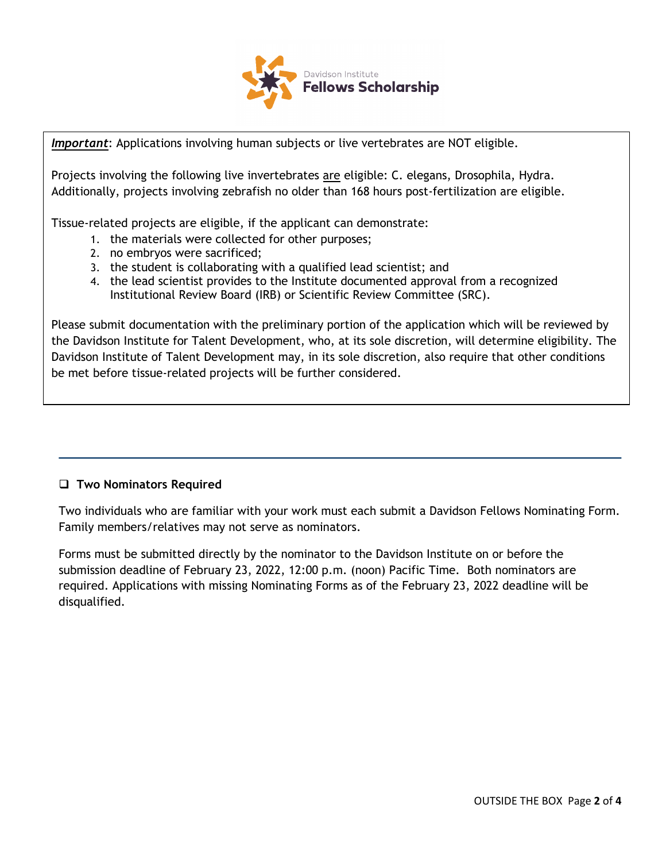

*Important*: Applications involving human subjects or live vertebrates are NOT eligible. *Important*: Applications involving human subjects or live vertebrates are NOT eligible.

Projects involving the following live invertebrates are eligible: C. elegans, Drosophila, Hydra. Projects involving the following live invertebrates are eligible: C. elegans, Drosophila, Hydra. Additionally, projects involving zebrafish no older than 168 hours post-fertilization are eligible. Additionally, projects involving zebrafish no older than 168 hours post-fertilization are eligible.

Tissue-related projects are eligible, if the applicant can demonstrate: Tissue-related projects are eligible, if the applicant can demonstrate:

- 1. the materials were collected for other purposes;<br>c
- 2. no embryos were sacrificed;
- 2. no embryos were sacrificed; 3. the student is collaborating with a qualified lead scientist; and  $\overline{3}$ . the student is collaborating with a qualified lead scientist, and  $\overline{3}$
- 4. the lead scientist provides to the Institute documented approval from a recognized 4. the lead scientist provides to the Institute documented approval from a recognized Institutional Review Board (IRB) or Scientific Review Committee (SRC). Institutional Review Board (IRB) or Scientific Review Committee (SRC).

Please submit documentation with the preliminary portion of the application which will be reviewed by Please submit documentation with the preliminary portion of the application which will be reviewed by the Davidson Institute for Talent Development, who, at its sole discretion, will determine the Davidson Institute for Talent Development, who, at its sole discretion, will determine eligibility. The Davidson Institute of Talent Development may, in its sole discretion, also require that other conditions<br>. be met before tissue-related projects will be further considered.

#### **Two Nominators Required**

Two individuals who are familiar with your work must each submit a Davidson Fellows Nominating Form. Family members/relatives may not serve as nominators.

Forms must be submitted directly by the nominator to the Davidson Institute on or before the submission deadline of February 23, 2022, 12:00 p.m. (noon) Pacific Time. Both nominators are required. Applications with missing Nominating Forms as of the February 23, 2022 deadline will be disqualified.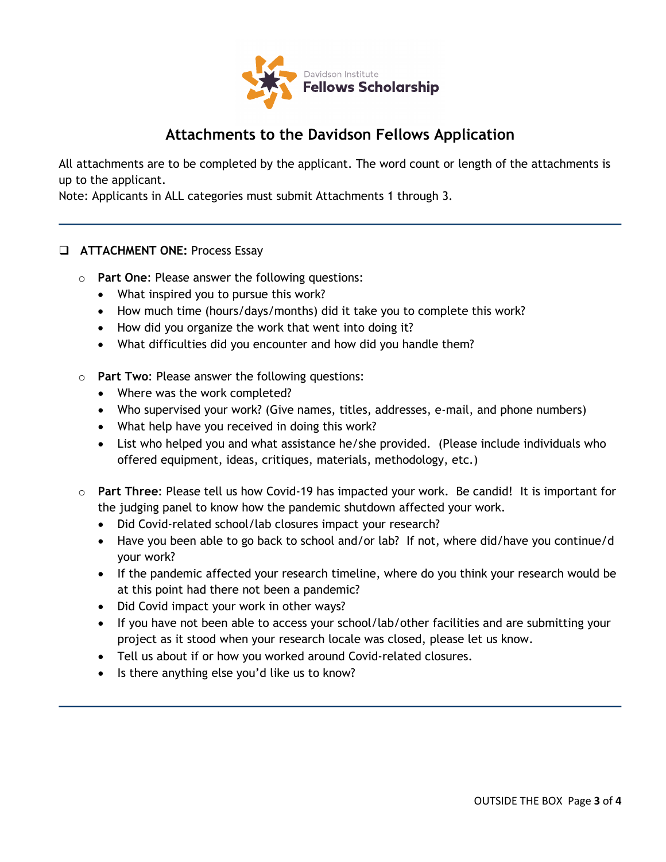

## **Attachments to the Davidson Fellows Application**

All attachments are to be completed by the applicant. The word count or length of the attachments is up to the applicant.

Note: Applicants in ALL categories must submit Attachments 1 through 3.

### **ATTACHMENT ONE: Process Essay**

- o **Part One**: Please answer the following questions:
	- What inspired you to pursue this work?
	- How much time (hours/days/months) did it take you to complete this work?
	- How did you organize the work that went into doing it?
	- What difficulties did you encounter and how did you handle them?
- o **Part Two**: Please answer the following questions:
	- Where was the work completed?
	- Who supervised your work? (Give names, titles, addresses, e-mail, and phone numbers)
	- What help have you received in doing this work?
	- List who helped you and what assistance he/she provided. (Please include individuals who offered equipment, ideas, critiques, materials, methodology, etc.)
- o **Part Three**: Please tell us how Covid-19 has impacted your work. Be candid! It is important for the judging panel to know how the pandemic shutdown affected your work.
	- Did Covid-related school/lab closures impact your research?
	- Have you been able to go back to school and/or lab? If not, where did/have you continue/d your work?
	- If the pandemic affected your research timeline, where do you think your research would be at this point had there not been a pandemic?
	- Did Covid impact your work in other ways?
	- If you have not been able to access your school/lab/other facilities and are submitting your project as it stood when your research locale was closed, please let us know.
	- Tell us about if or how you worked around Covid-related closures.
	- Is there anything else you'd like us to know?